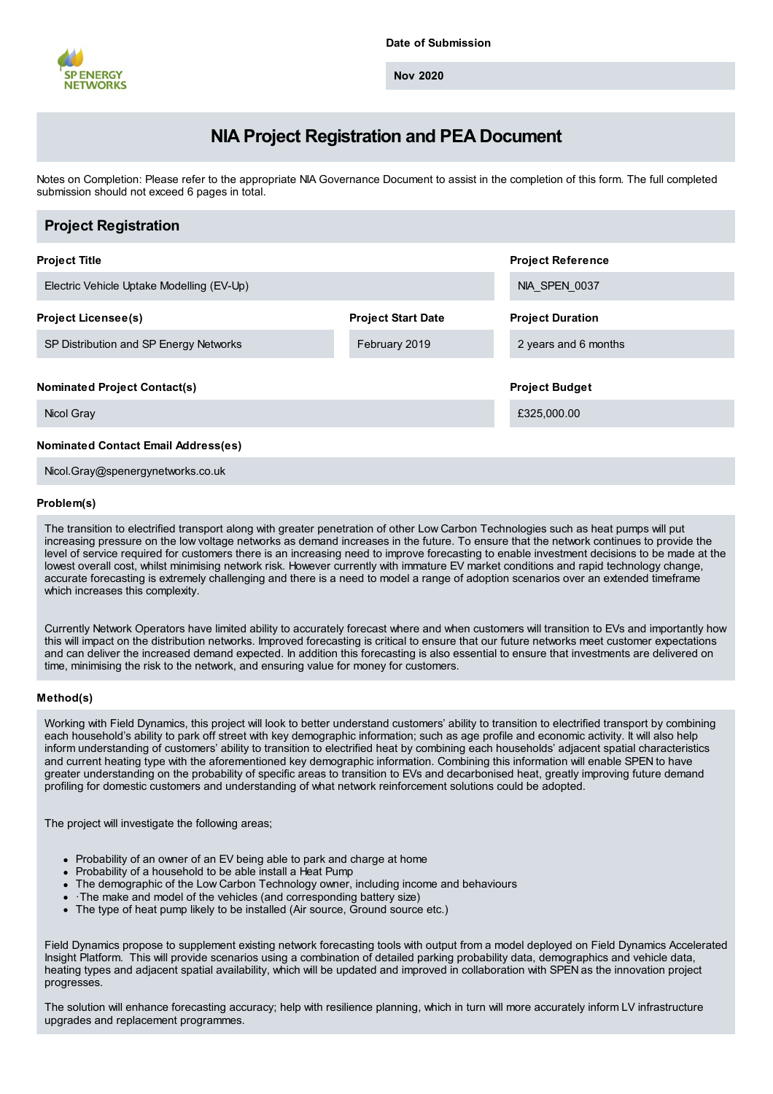

**Nov 2020**

# **NIA Project Registration and PEA Document**

Notes on Completion: Please refer to the appropriate NIA Governance Document to assist in the completion of this form. The full completed submission should not exceed 6 pages in total.

| <b>Project Registration</b>                       |                           |                                      |
|---------------------------------------------------|---------------------------|--------------------------------------|
| <b>Project Title</b>                              |                           | <b>Project Reference</b>             |
| Electric Vehicle Uptake Modelling (EV-Up)         |                           | NIA SPEN 0037                        |
| <b>Project Licensee(s)</b>                        | <b>Project Start Date</b> | <b>Project Duration</b>              |
| SP Distribution and SP Energy Networks            | February 2019             | 2 years and 6 months                 |
| <b>Nominated Project Contact(s)</b><br>Nicol Gray |                           | <b>Project Budget</b><br>£325,000.00 |
| <b>Nominated Contact Email Address(es)</b>        |                           |                                      |

Nicol.Gray@spenergynetworks.co.uk

# **Problem(s)**

The transition to electrified transport along with greater penetration of other Low Carbon Technologies such as heat pumps will put increasing pressure on the low voltage networks as demand increases in the future. To ensure that the network continues to provide the level of service required for customers there is an increasing need to improve forecasting to enable investment decisions to be made at the lowest overall cost, whilst minimising network risk. However currently with immature EV market conditions and rapid technology change, accurate forecasting is extremely challenging and there is a need to model a range of adoption scenarios over an extended timeframe which increases this complexity.

Currently Network Operators have limited ability to accurately forecast where and when customers will transition to EVs and importantly how this will impact on the distribution networks. Improved forecasting is critical to ensure that our future networks meet customer expectations and can deliver the increased demand expected. In addition this forecasting is also essential to ensure that investments are delivered on time, minimising the risk to the network, and ensuring value for money for customers.

#### **Method(s)**

Working with Field Dynamics, this project will look to better understand customers' ability to transition to electrified transport by combining each household's ability to park off street with key demographic information; such as age profile and economic activity. It will also help inform understanding of customers' ability to transition to electrified heat by combining each households' adjacent spatial characteristics and current heating type with the aforementioned key demographic information. Combining this information will enable SPEN to have greater understanding on the probability of specific areas to transition to EVs and decarbonised heat, greatly improving future demand profiling for domestic customers and understanding of what network reinforcement solutions could be adopted.

The project will investigate the following areas;

- Probability of an owner of an EV being able to park and charge at home
- Probability of a household to be able install a Heat Pump
- The demographic of the Low Carbon Technology owner, including income and behaviours
- ·The make and model of the vehicles (and corresponding battery size)
- The type of heat pump likely to be installed (Air source, Ground source etc.)

Field Dynamics propose to supplement existing network forecasting tools with output from a model deployed on Field Dynamics Accelerated Insight Platform. This will provide scenarios using a combination of detailed parking probability data, demographics and vehicle data, heating types and adjacent spatial availability, which will be updated and improved in collaboration with SPEN as the innovation project progresses.

The solution will enhance forecasting accuracy; help with resilience planning, which in turn will more accurately inform LV infrastructure upgrades and replacement programmes.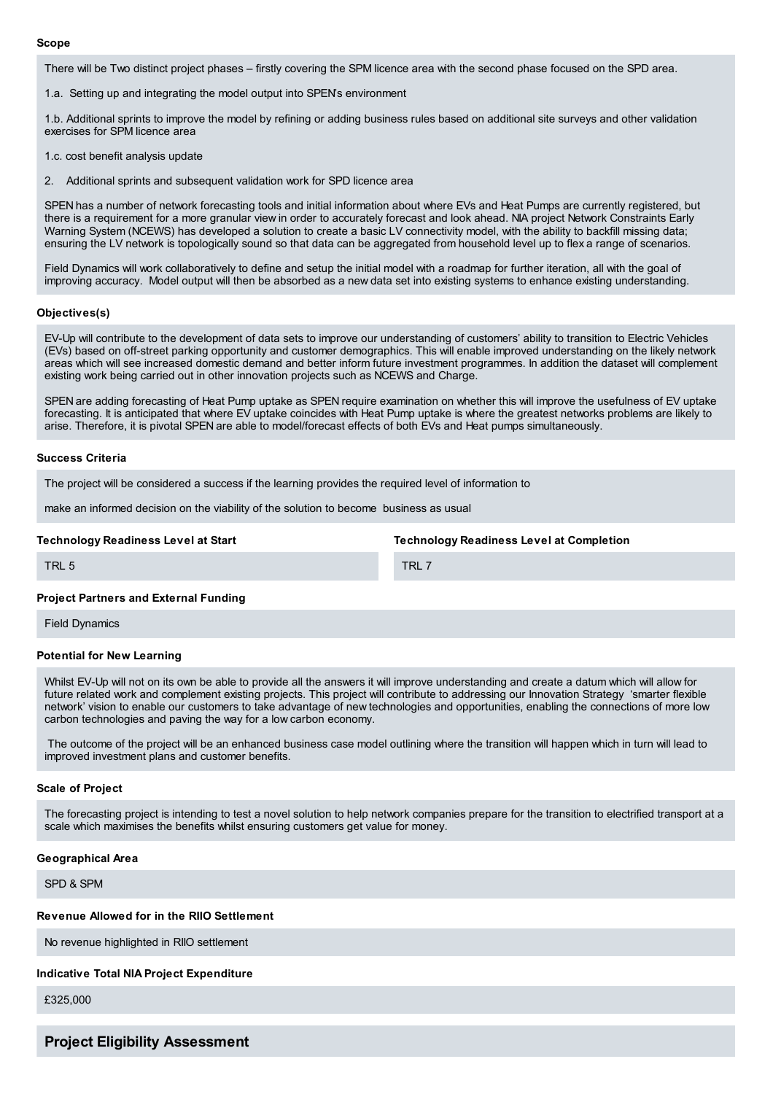#### **Scope**

There will be Two distinct project phases – firstly covering the SPM licence area with the second phase focused on the SPD area.

1.a. Setting up and integrating the model output into SPEN's environment

1.b. Additional sprints to improve the model by refining or adding business rules based on additional site surveys and other validation exercises for SPM licence area

1.c. cost benefit analysis update

2. Additional sprints and subsequent validation work for SPD licence area

SPEN has a number of network forecasting tools and initial information about where EVs and Heat Pumps are currently registered, but there is a requirement for a more granular view in order to accurately forecast and look ahead. NIA project Network Constraints Early Warning System (NCEWS) has developed a solution to create a basic LV connectivity model, with the ability to backfill missing data; ensuring the LV network is topologically sound so that data can be aggregated from household level up to flex a range of scenarios.

Field Dynamics will work collaboratively to define and setup the initial model with a roadmap for further iteration, all with the goal of improving accuracy. Model output will then be absorbed as a new data set into existing systems to enhance existing understanding.

#### **Objectives(s)**

EV-Up will contribute to the development of data sets to improve our understanding of customers' ability to transition to Electric Vehicles (EVs) based on off-street parking opportunity and customer demographics. This will enable improved understanding on the likely network areas which will see increased domestic demand and better inform future investment programmes. In addition the dataset will complement existing work being carried out in other innovation projects such as NCEWS and Charge.

SPEN are adding forecasting of Heat Pump uptake as SPEN require examination on whether this will improve the usefulness of EV uptake forecasting. It is anticipated that where EV uptake coincides with Heat Pump uptake is where the greatest networks problems are likely to arise. Therefore, it is pivotal SPEN are able to model/forecast effects of both EVs and Heat pumps simultaneously.

#### **Success Criteria**

The project will be considered a success if the learning provides the required level of information to

make an informed decision on the viability of the solution to become business as usual

#### **Technology Readiness Level at Start**

**Technology Readiness Level at Completion**

TRL 5

TRI<sub>7</sub>

#### **Project Partners and External Funding**

Field Dynamics

# **Potential for New Learning**

Whilst EV-Up will not on its own be able to provide all the answers it will improve understanding and create a datum which will allow for future related work and complement existing projects. This project will contribute to addressing our Innovation Strategy 'smarter flexible network' vision to enable our customers to take advantage of new technologies and opportunities, enabling the connections of more low carbon technologies and paving the way for a low carbon economy.

The outcome of the project will be an enhanced business case model outlining where the transition will happen which in turn will lead to improved investment plans and customer benefits.

## **Scale of Project**

The forecasting project is intending to test a novel solution to help network companies prepare for the transition to electrified transport at a scale which maximises the benefits whilst ensuring customers get value for money.

#### **Geographical Area**

SPD & SPM

# **Revenue Allowed for in the RIIO Settlement**

No revenue highlighted in RIIO settlement

# **Indicative Total NIA Project Expenditure**

£325,000

# **Project Eligibility Assessment**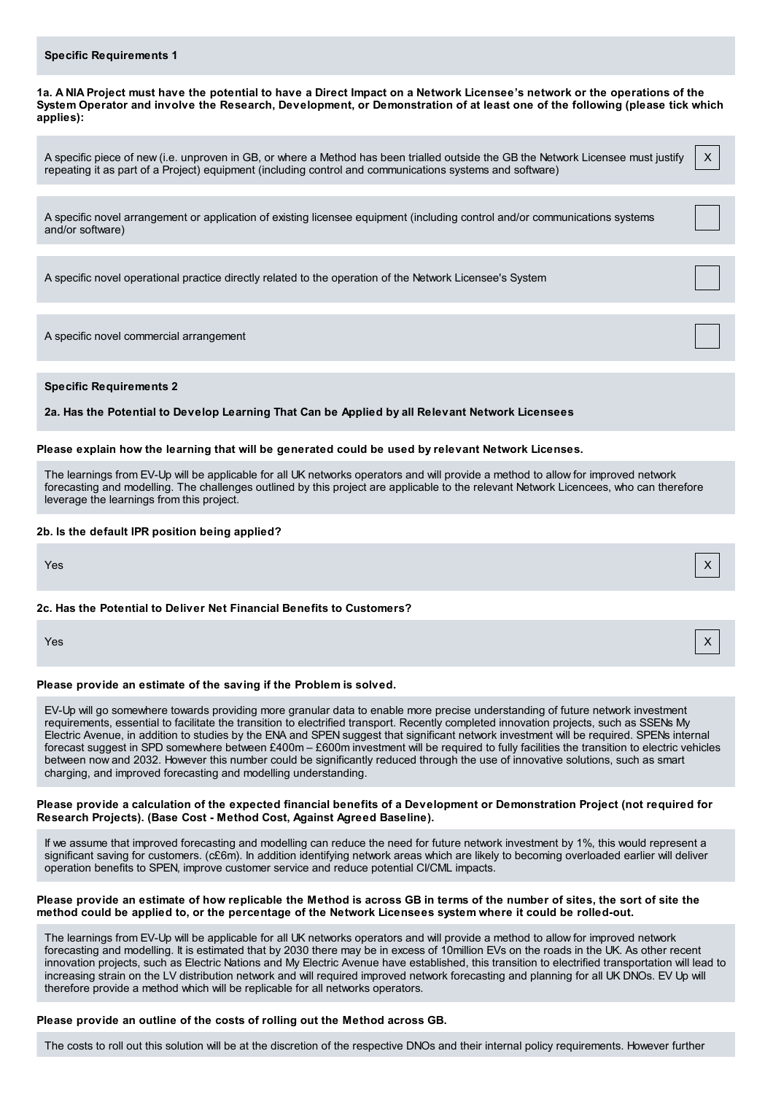## **Specific Requirements 1**

1a. A NIA Project must have the potential to have a Direct Impact on a Network Licensee's network or the operations of the System Operator and involve the Research, Development, or Demonstration of at least one of the following (please tick which **applies):**

X

A specific piece of new (i.e. unproven in GB, or where a Method has been trialled outside the GB the Network Licensee must justify repeating it as part of a Project) equipment (including control and communications systems and software)

A specific novel arrangement or application of existing licensee equipment (including control and/or communications systems and/or software)

A specific novel operational practice directly related to the operation of the Network Licensee's System

A specific novel commercial arrangement

**Specific Requirements 2**

**2a. Has the Potential to Develop Learning That Can be Applied by all Relevant Network Licensees**

#### **Please explain how the learning that will be generated could be used by relevant Network Licenses.**

The learnings from EV-Up will be applicable for all UK networks operators and will provide a method to allow for improved network forecasting and modelling. The challenges outlined by this project are applicable to the relevant Network Licencees, who can therefore leverage the learnings from this project.

#### **2b. Is the default IPR position being applied?**

# Yes X

# **2c. Has the Potential to Deliver Net Financial Benefits to Customers?**

Yes X

# **Please provide an estimate of the saving if the Problem is solved.**

EV-Up will go somewhere towards providing more granular data to enable more precise understanding of future network investment requirements, essential to facilitate the transition to electrified transport. Recently completed innovation projects, such as SSENs My Electric Avenue, in addition to studies by the ENA and SPEN suggest that significant network investment will be required. SPENs internal forecast suggest in SPD somewhere between £400m – £600m investment will be required to fully facilities the transition to electric vehicles between now and 2032. However this number could be significantly reduced through the use of innovative solutions, such as smart charging, and improved forecasting and modelling understanding.

Please provide a calculation of the expected financial benefits of a Development or Demonstration Project (not required for **Research Projects). (Base Cost - Method Cost, Against Agreed Baseline).**

If we assume that improved forecasting and modelling can reduce the need for future network investment by 1%, this would represent a significant saving for customers. (c£6m). In addition identifying network areas which are likely to becoming overloaded earlier will deliver operation benefits to SPEN, improve customer service and reduce potential CI/CML impacts.

# Please provide an estimate of how replicable the Method is across GB in terms of the number of sites, the sort of site the method could be applied to, or the percentage of the Network Licensees system where it could be rolled-out.

The learnings from EV-Up will be applicable for all UK networks operators and will provide a method to allow for improved network forecasting and modelling. It is estimated that by 2030 there may be in excess of 10million EVs on the roads in the UK. As other recent innovation projects, such as Electric Nations and My Electric Avenue have established, this transition to electrified transportation will lead to increasing strain on the LV distribution network and will required improved network forecasting and planning for all UK DNOs. EV Up will therefore provide a method which will be replicable for all networks operators.

# **Please provide an outline of the costs of rolling out the Method across GB.**

The costs to roll out this solution will be at the discretion of the respective DNOs and their internal policy requirements. However further